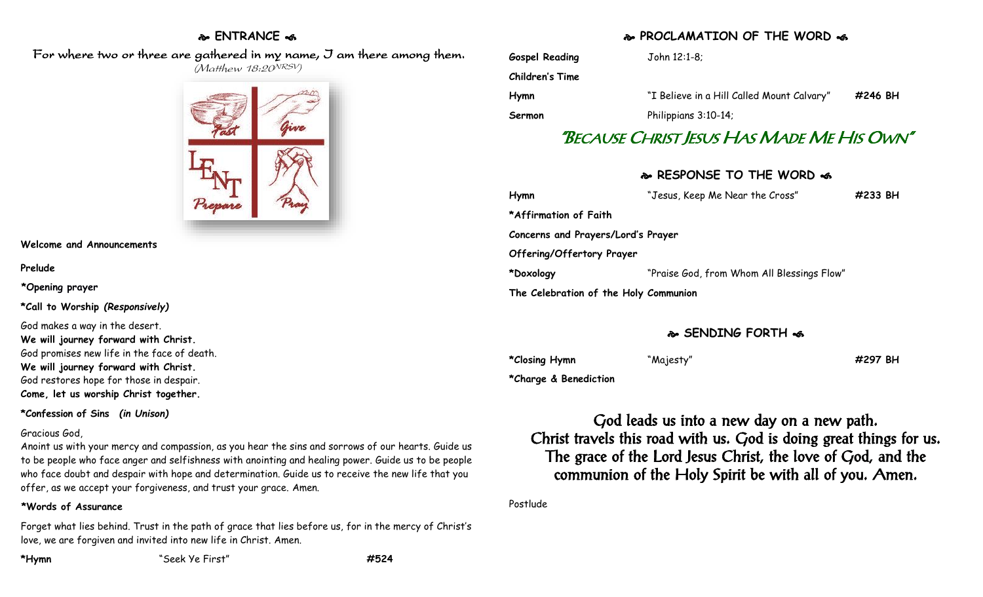# **ENTRANCE**

 For where two or three are gathered in my name, I am there among them.  $(M$ atthew 18:20<sup>NRSV</sup>)



**Welcome and Announcements**

**Prelude**

**\*Opening prayer**

**\*Call to Worship** *(Responsively)*

God makes a way in the desert. **We will journey forward with Christ.** God promises new life in the face of death. **We will journey forward with Christ.** God restores hope for those in despair. **Come, let us worship Christ together.**

**\*Confession of Sins** *(in Unison)*

### Gracious God,

Anoint us with your mercy and compassion, as you hear the sins and sorrows of our hearts. Guide us to be people who face anger and selfishness with anointing and healing power. Guide us to be people who face doubt and despair with hope and determination. Guide us to receive the new life that you offer, as we accept your forgiveness, and trust your grace. Amen.

### **\*Words of Assurance**

Forget what lies behind. Trust in the path of grace that lies before us, for in the mercy of Christ's love, we are forgiven and invited into new life in Christ. Amen.

# **PROCLAMATION OF THE WORD**

| <b>Gospel Reading</b> | John 12:1-8;                               |         |
|-----------------------|--------------------------------------------|---------|
| Children's Time       |                                            |         |
| Hymn                  | "I Believe in a Hill Called Mount Calvary" | #246 BH |
| Sermon                | Philippians 3:10-14;                       |         |
|                       | "BECAUSE CHRIST JESUS HAS MADE ME HIS OWN" |         |

## **RESPONSE TO THE WORD**

| Hymn                                  | "Jesus, Keep Me Near the Cross"            | $\#233$ BH |
|---------------------------------------|--------------------------------------------|------------|
| *Affirmation of Faith                 |                                            |            |
| Concerns and Prayers/Lord's Prayer    |                                            |            |
| Offering/Offertory Prayer             |                                            |            |
| *Doxology                             | "Praise God, from Whom All Blessings Flow" |            |
| The Celebration of the Holy Communion |                                            |            |

## **SENDING FORTH**  $\sim$

**\*Closing Hymn** "Majesty" **#297 BH**

**\*Charge & Benediction**

God leads us into a new day on a new path. Christ travels this road with us. God is doing great things for us. The grace of the Lord Jesus Christ, the love of God, and the communion of the Holy Spirit be with all of you. Amen.

Postlude